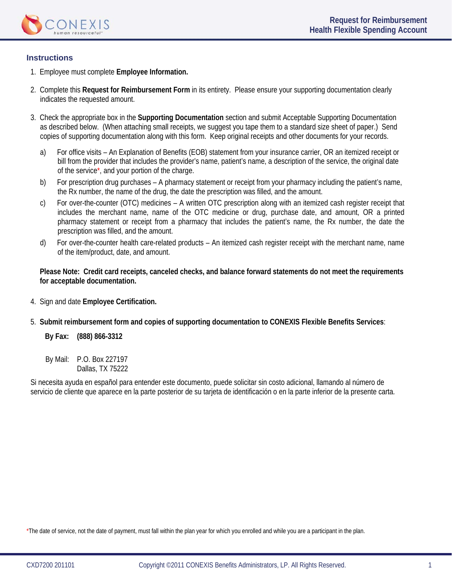

## **Instructions**

- 1. Employee must complete **Employee Information.**
- 2. Complete this **Request for Reimbursement Form** in its entirety. Please ensure your supporting documentation clearly indicates the requested amount.
- 3. Check the appropriate box in the **Supporting Documentation** section and submit Acceptable Supporting Documentation as described below. (When attaching small receipts, we suggest you tape them to a standard size sheet of paper.) Send copies of supporting documentation along with this form. Keep original receipts and other documents for your records.
	- a) For office visits An Explanation of Benefits (EOB) statement from your insurance carrier, OR an itemized receipt or bill from the provider that includes the provider's name, patient's name, a description of the service, the original date of the service\*, and your portion of the charge.
	- b) For prescription drug purchases A pharmacy statement or receipt from your pharmacy including the patient's name, the Rx number, the name of the drug, the date the prescription was filled, and the amount.
	- c) For over-the-counter (OTC) medicines A written OTC prescription along with an itemized cash register receipt that includes the merchant name, name of the OTC medicine or drug, purchase date, and amount, OR a printed pharmacy statement or receipt from a pharmacy that includes the patient's name, the Rx number, the date the prescription was filled, and the amount.
	- d) For over-the-counter health care-related products An itemized cash register receipt with the merchant name, name of the item/product, date, and amount.

**Please Note: Credit card receipts, canceled checks, and balance forward statements do not meet the requirements for acceptable documentation.** 

- 4. Sign and date **Employee Certification.**
- 5. **Submit reimbursement form and copies of supporting documentation to CONEXIS Flexible Benefits Services**:

**By Fax: (888) 866-3312** 

By Mail: P.O. Box 227197 Dallas, TX 75222

Si necesita ayuda en español para entender este documento, puede solicitar sin costo adicional, llamando al número de servicio de cliente que aparece en la parte posterior de su tarjeta de identificación o en la parte inferior de la presente carta.

\*The date of service, not the date of payment, must fall within the plan year for which you enrolled and while you are a participant in the plan.